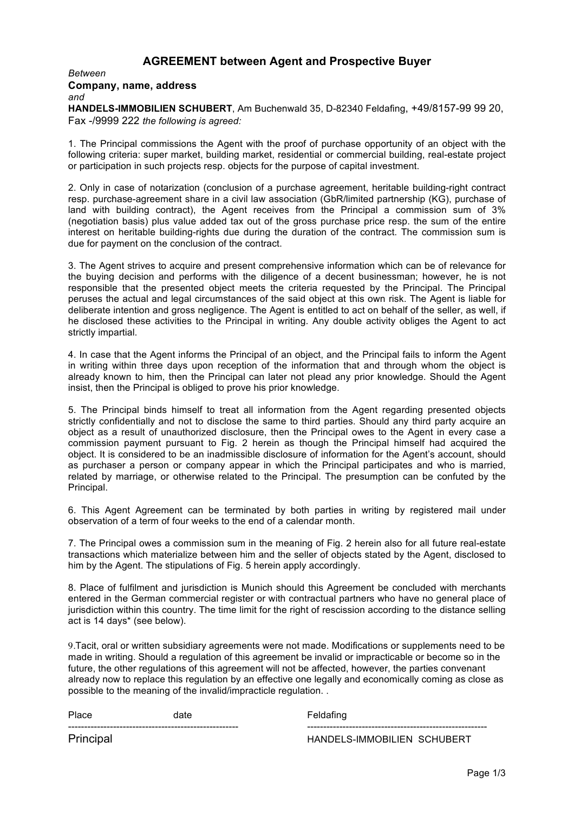# **AGREEMENT between Agent and Prospective Buyer**

#### *Between* **Company, name, address** *and*

**HANDELS-IMMOBILIEN SCHUBERT**, Am Buchenwald 35, D-82340 Feldafing, +49/8157-99 99 20, Fax -/9999 222 *the following is agreed:*

1. The Principal commissions the Agent with the proof of purchase opportunity of an object with the following criteria: super market, building market, residential or commercial building, real-estate project or participation in such projects resp. objects for the purpose of capital investment.

2. Only in case of notarization (conclusion of a purchase agreement, heritable building-right contract resp. purchase-agreement share in a civil law association (GbR/limited partnership (KG), purchase of land with building contract), the Agent receives from the Principal a commission sum of 3% (negotiation basis) plus value added tax out of the gross purchase price resp. the sum of the entire interest on heritable building-rights due during the duration of the contract. The commission sum is due for payment on the conclusion of the contract.

3. The Agent strives to acquire and present comprehensive information which can be of relevance for the buying decision and performs with the diligence of a decent businessman; however, he is not responsible that the presented object meets the criteria requested by the Principal. The Principal peruses the actual and legal circumstances of the said object at this own risk. The Agent is liable for deliberate intention and gross negligence. The Agent is entitled to act on behalf of the seller, as well, if he disclosed these activities to the Principal in writing. Any double activity obliges the Agent to act strictly impartial.

4. In case that the Agent informs the Principal of an object, and the Principal fails to inform the Agent in writing within three days upon reception of the information that and through whom the object is already known to him, then the Principal can later not plead any prior knowledge. Should the Agent insist, then the Principal is obliged to prove his prior knowledge.

5. The Principal binds himself to treat all information from the Agent regarding presented objects strictly confidentially and not to disclose the same to third parties. Should any third party acquire an object as a result of unauthorized disclosure, then the Principal owes to the Agent in every case a commission payment pursuant to Fig. 2 herein as though the Principal himself had acquired the object. It is considered to be an inadmissible disclosure of information for the Agent's account, should as purchaser a person or company appear in which the Principal participates and who is married, related by marriage, or otherwise related to the Principal. The presumption can be confuted by the Principal.

6. This Agent Agreement can be terminated by both parties in writing by registered mail under observation of a term of four weeks to the end of a calendar month.

7. The Principal owes a commission sum in the meaning of Fig. 2 herein also for all future real-estate transactions which materialize between him and the seller of objects stated by the Agent, disclosed to him by the Agent. The stipulations of Fig. 5 herein apply accordingly.

8. Place of fulfilment and jurisdiction is Munich should this Agreement be concluded with merchants entered in the German commercial register or with contractual partners who have no general place of jurisdiction within this country. The time limit for the right of rescission according to the distance selling act is 14 days\* (see below).

9.Tacit, oral or written subsidiary agreements were not made. Modifications or supplements need to be made in writing. Should a regulation of this agreement be invalid or impracticable or become so in the future, the other regulations of this agreement will not be affected, however, the parties convenant already now to replace this regulation by an effective one legally and economically coming as close as possible to the meaning of the invalid/impracticle regulation. .

----------------------------------------------------- --------------------------------------------------------

Place date date **Feldafing** 

Principal HANDELS-IMMOBILIEN SCHUBERT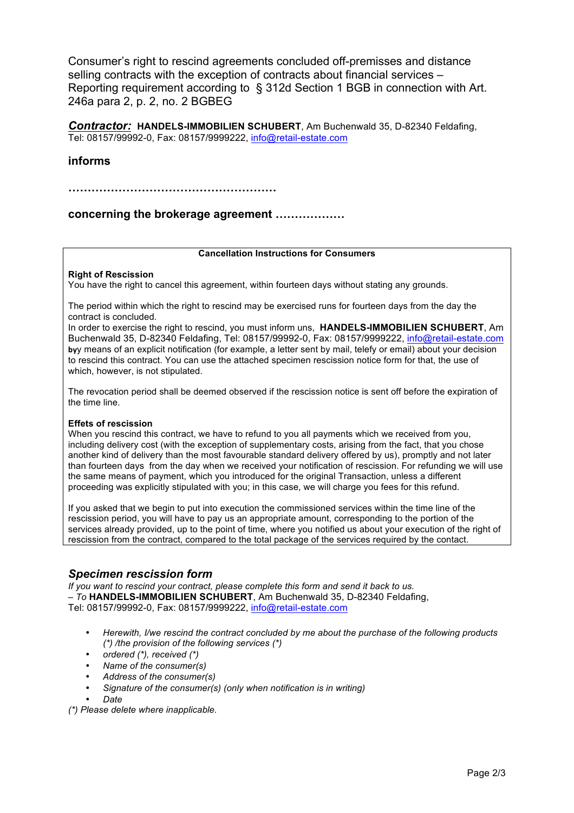Consumer's right to rescind agreements concluded off-premisses and distance selling contracts with the exception of contracts about financial services – Reporting requirement according to § 312d Section 1 BGB in connection with Art. 246a para 2, p. 2, no. 2 BGBEG

*Contractor:* **HANDELS-IMMOBILIEN SCHUBERT**, Am Buchenwald 35, D-82340 Feldafing, Tel: 08157/99992-0, Fax: 08157/9999222, info@retail-estate.com

## **informs**

**………………………………………………**

**concerning the brokerage agreement ………………**

### **Cancellation Instructions for Consumers**

### **Right of Rescission**

You have the right to cancel this agreement, within fourteen days without stating any grounds.

The period within which the right to rescind may be exercised runs for fourteen days from the day the contract is concluded.

In order to exercise the right to rescind, you must inform uns, **HANDELS-IMMOBILIEN SCHUBERT**, Am Buchenwald 35, D-82340 Feldafing, Tel: 08157/99992-0, Fax: 08157/9999222, info@retail-estate.com **by**y means of an explicit notification (for example, a letter sent by mail, telefy or email) about your decision to rescind this contract. You can use the attached specimen rescission notice form for that, the use of which, however, is not stipulated.

The revocation period shall be deemed observed if the rescission notice is sent off before the expiration of the time line.

### **Effets of rescission**

When you rescind this contract, we have to refund to you all payments which we received from you, including delivery cost (with the exception of supplementary costs, arising from the fact, that you chose another kind of delivery than the most favourable standard delivery offered by us), promptly and not later than fourteen days from the day when we received your notification of rescission. For refunding we will use the same means of payment, which you introduced for the original Transaction, unless a different proceeding was explicitly stipulated with you; in this case, we will charge you fees for this refund.

If you asked that we begin to put into execution the commissioned services within the time line of the rescission period, you will have to pay us an appropriate amount, corresponding to the portion of the services already provided, up to the point of time, where you notified us about your execution of the right of rescission from the contract, compared to the total package of the services required by the contact.

## *Specimen rescission form*

*If you want to rescind your contract, please complete this form and send it back to us. – To* **HANDELS-IMMOBILIEN SCHUBERT**, Am Buchenwald 35, D-82340 Feldafing, Tel: 08157/99992-0, Fax: 08157/9999222, info@retail-estate.com

- *Herewith, I/we rescind the contract concluded by me about the purchase of the following products (\*) /the provision of the following services (\*)*
- *ordered (\*), received (\*)*
- *Name of the consumer(s)*
- *Address of the consumer(s)*
- *Signature of the consumer(s) (only when notification is in writing)*
- *Date*

*(\*) Please delete where inapplicable.*